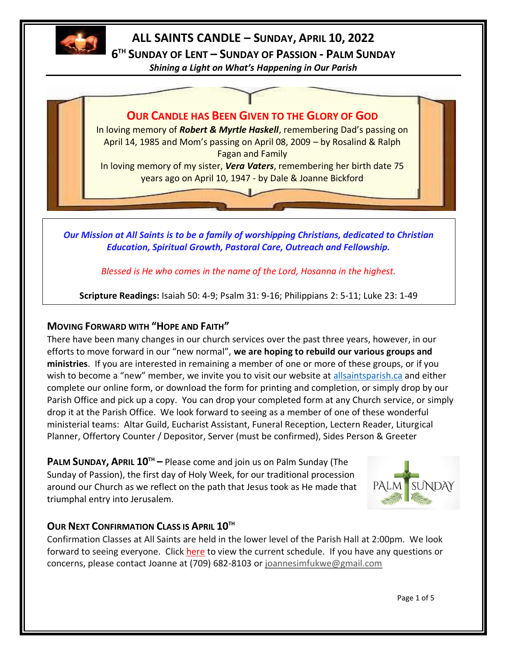

# **ALL SAINTS CANDLE – SUNDAY, APRIL 10, 2022**

**6 TH SUNDAY OF LENT – SUNDAY OF PASSION - PALM SUNDAY**

*Shining a Light on What's Happening in Our Parish*

**OUR CANDLE HAS BEEN GIVEN TO THE GLORY OF GOD** In loving memory of *Robert & Myrtle Haskell*, remembering Dad's passing on April 14, 1985 and Mom's passing on April 08, 2009 – by Rosalind & Ralph Fagan and Family In loving memory of my sister, *Vera Vaters*, remembering her birth date 75 years ago on April 10, 1947 - by Dale & Joanne Bickford

*Our Mission at All Saints is to be a family of worshipping Christians, dedicated to Christian Education, Spiritual Growth, Pastoral Care, Outreach and Fellowship.*

*Blessed is He who comes in the name of the Lord, Hosanna in the highest.*

**Scripture Readings:** Isaiah 50: 4-9; Psalm 31: 9-16; Philippians 2: 5-11; Luke 23: 1-49

## **MOVING FORWARD WITH "HOPE AND FAITH"**

There have been many changes in our church services over the past three years, however, in our efforts to move forward in our "new normal", **we are hoping to rebuild our various groups and ministries**. If you are interested in remaining a member of one or more of these groups, or if you wish to become a "new" member, we invite you to visit our website at <allsaintsparish.ca> and either complete our online form, or download the form for printing and completion, or simply drop by our Parish Office and pick up a copy. You can drop your completed form at any Church service, or simply drop it at the Parish Office. We look forward to seeing as a member of one of these wonderful ministerial teams: Altar Guild, Eucharist Assistant, Funeral Reception, Lectern Reader, Liturgical Planner, Offertory Counter / Depositor, Server (must be confirmed), Sides Person & Greeter

**PALM SUNDAY, APRIL 10TH –** Please come and join us on Palm Sunday (The Sunday of Passion), the first day of Holy Week, for our traditional procession around our Church as we reflect on the path that Jesus took as He made that triumphal entry into Jerusalem.



## **OUR NEXT CONFIRMATION CLASS IS APRIL 10TH**

Confirmation Classes at All Saints are held in the lower level of the Parish Hall at 2:00pm. We look forward to seeing everyone. Click [here](http://allsaintsparish.ca/document_library/Confirmation%20Schedule%20220227.pdf) to view the current schedule. If you have any questions or concerns, please contact Joanne at (709) 682-8103 or [joannesimfukwe@gmail.com](mailto:joannesimfukwe@gmail.com)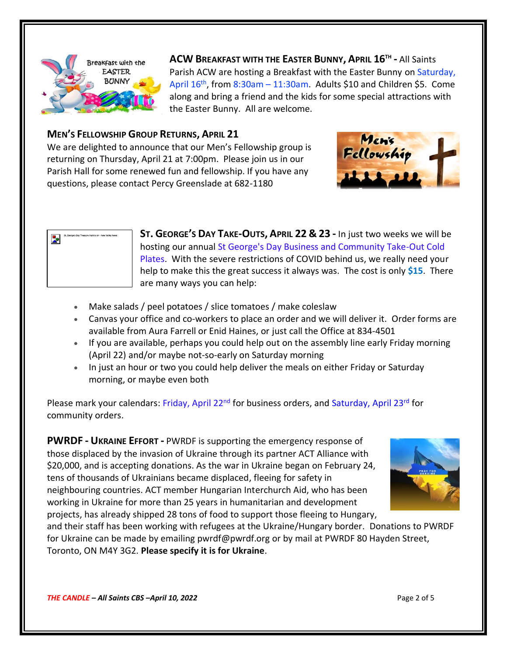

**ACW BREAKFAST WITH THE EASTER BUNNY, APRIL 16TH -** All Saints Parish ACW are hosting a Breakfast with the Easter Bunny on Saturday, April 16<sup>th</sup>, from 8:30am – 11:30am. Adults \$10 and Children \$5. Come along and bring a friend and the kids for some special attractions with the Easter Bunny. All are welcome.

#### **MEN'S FELLOWSHIP GROUP RETURNS, APRIL 21**

We are delighted to announce that our Men's Fellowship group is returning on Thursday, April 21 at 7:00pm. Please join us in our Parish Hall for some renewed fun and fellowship. If you have any questions, please contact Percy Greenslade at 682-1180





- **ST. GEORGE'S DAY TAKE-OUTS, APRIL 22 & 23 -** In just two weeks we will be hosting our annual St George's Day Business and Community Take-Out Cold Plates. With the severe restrictions of COVID behind us, we really need your help to make this the great success it always was. The cost is only **\$15**. There are many ways you can help:
- Make salads / peel potatoes / slice tomatoes / make coleslaw
- Canvas your office and co-workers to place an order and we will deliver it. Order forms are available from Aura Farrell or Enid Haines, or just call the Office at 834-4501
- If you are available, perhaps you could help out on the assembly line early Friday morning (April 22) and/or maybe not-so-early on Saturday morning
- In just an hour or two you could help deliver the meals on either Friday or Saturday morning, or maybe even both

Please mark your calendars: Friday, April 22<sup>nd</sup> for business orders, and Saturday, April 23<sup>rd</sup> for community orders.

**PWRDF - UKRAINE EFFORT -** PWRDF is supporting the emergency response of those displaced by the invasion of Ukraine through its partner ACT Alliance with \$20,000, and is accepting donations. As the war in Ukraine began on February 24, tens of thousands of Ukrainians became displaced, fleeing for safety in neighbouring countries. ACT member Hungarian Interchurch Aid, who has been working in Ukraine for more than 25 years in humanitarian and development projects, has already shipped 28 tons of food to support those fleeing to Hungary,



and their staff has been working with refugees at the Ukraine/Hungary border. Donations to PWRDF for Ukraine can be made by emailing pwrdf@pwrdf.org or by mail at PWRDF 80 Hayden Street, Toronto, ON M4Y 3G2. **Please specify it is for Ukraine**.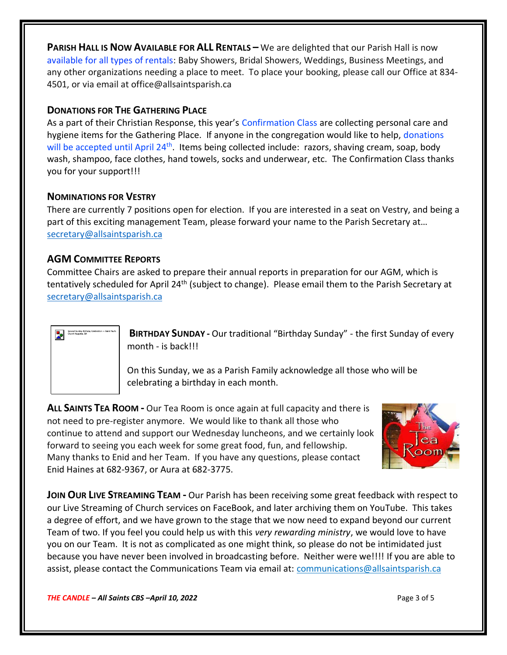**PARISH HALL IS NOW AVAILABLE FOR ALL RENTALS –** We are delighted that our Parish Hall is now available for all types of rentals: Baby Showers, Bridal Showers, Weddings, Business Meetings, and any other organizations needing a place to meet. To place your booking, please call our Office at 834- 4501, or via email at office@allsaintsparish.ca

#### **DONATIONS FOR THE GATHERING PLACE**

As a part of their Christian Response, this year's Confirmation Class are collecting personal care and hygiene items for the Gathering Place. If anyone in the congregation would like to help, donations will be accepted until April 24<sup>th</sup>. Items being collected include: razors, shaving cream, soap, body wash, shampoo, face clothes, hand towels, socks and underwear, etc. The Confirmation Class thanks you for your support!!!

#### **NOMINATIONS FOR VESTRY**

There are currently 7 positions open for election. If you are interested in a seat on Vestry, and being a part of this exciting management Team, please forward your name to the Parish Secretary at… [secretary@allsaintsparish.ca](mailto:Nominations%20for%20Vestry%20%20There%20are%20currently%207%20positions%20open%20for%20election.%20%20If%20you%20are%20interested%20in%20a%20seat%20on%20Vestry,%20and%20being%20a%20part%20of%20this%20exciting%20management%20Team,%20please%20forward%20your%20name%20to%20the%20Parish%20Secretary%20at…%20secretary@allsaintsparish.ca%20%20?subject=Nominations%20for%20Vestry)

## **AGM COMMITTEE REPORTS**

Committee Chairs are asked to prepare their annual reports in preparation for our AGM, which is tentatively scheduled for April 24<sup>th</sup> (subject to change). Please email them to the Parish Secretary at [secretary@allsaintsparish.ca](mailto:Committee%20Chairs%20are%20asked%20to%20prepare%20their%20annual%20reports%20in%20preparation%20for%20our%20AGM,%20which%20is%20tentatively%20scheduled%20for%20April%2024th%20(subject%20to%20change).%20%20Please%20email%20them%20to%20the%20Parish%20Secretary%20at%20secretary@allsaintsparish.ca%20%20?subject=AGM%20Committee%20Report)



**BIRTHDAY SUNDAY -** Our traditional "Birthday Sunday" - the first Sunday of every month - is back!!!

On this Sunday, we as a Parish Family acknowledge all those who will be celebrating a birthday in each month.

**ALL SAINTS TEA ROOM -** Our Tea Room is once again at full capacity and there is not need to pre-register anymore. We would like to thank all those who continue to attend and support our Wednesday luncheons, and we certainly look forward to seeing you each week for some great food, fun, and fellowship. Many thanks to Enid and her Team. If you have any questions, please contact Enid Haines at 682-9367, or Aura at 682-3775.



**JOIN OUR LIVE STREAMING TEAM -** Our Parish has been receiving some great feedback with respect to our Live Streaming of Church services on FaceBook, and later archiving them on YouTube. This takes a degree of effort, and we have grown to the stage that we now need to expand beyond our current Team of two. If you feel you could help us with this *very rewarding ministry*, we would love to have you on our Team. It is not as complicated as one might think, so please do not be intimidated just because you have never been involved in broadcasting before. Neither were we!!!! If you are able to assist, please contact the Communications Team via email at: communications@allsaintsparish.ca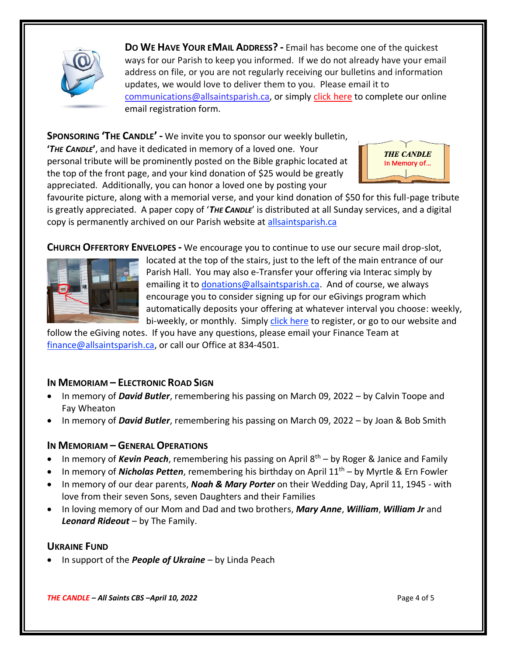

**DO WE HAVE YOUR EMAIL ADDRESS? -** Email has become one of the quickest ways for our Parish to keep you informed. If we do not already have your email address on file, or you are not regularly receiving our bulletins and information updates, we would love to deliver them to you. Please email it to [communications@allsaintsparish.ca,](mailto:communications@allsaintsparish.ca?subject=eMail%20Address%20Update) or simply [click here](http://allsaintsparish.ca/email_updates) to complete our online email registration form.

**SPONSORING 'THE CANDLE' -** We invite you to sponsor our weekly bulletin, **'***THE CANDLE***'**, and have it dedicated in memory of a loved one. Your personal tribute will be prominently posted on the Bible graphic located at the top of the front page, and your kind donation of \$25 would be greatly appreciated. Additionally, you can honor a loved one by posting your



favourite picture, along with a memorial verse, and your kind donation of \$50 for this full-page tribute is greatly appreciated. A paper copy of '*THE CANDLE*' is distributed at all Sunday services, and a digital copy is permanently archived on our Parish website at [allsaintsparish.ca](http://allsaintsparish.ca/thecandle.html)

**CHURCH OFFERTORY ENVELOPES -** We encourage you to continue to use our secure mail drop-slot,



located at the top of the stairs, just to the left of the main entrance of our Parish Hall. You may also e-Transfer your offering via Interac simply by emailing it to *donations@allsaintsparish.ca*. And of course, we always encourage you to consider signing up for our eGivings program which automatically deposits your offering at whatever interval you choose: weekly, bi-weekly, or monthly. Simply [click here](http://allsaintsparish.ca/egiving-online-information-form) to register, or go to our website and

follow the eGiving notes. If you have [any](https://wfsites-to.websitecreatorprotool.com/870a5dd5.com/Admin/%7BSK_NODEID__22939341__SK%7D) questions, please email your Finance Team at [finance@allsaintsparish.ca,](mailto:finance@allsaintsparish.ca) or call our Office at 834-4501.

## **IN MEMORIAM – ELECTRONIC ROAD SIGN**

- In memory of *David Butler*, remembering his passing on March 09, 2022 by Calvin Toope and Fay Wheaton
- In memory of *David Butler*, remembering his passing on March 09, 2022 by Joan & Bob Smith

## **IN MEMORIAM – GENERAL OPERATIONS**

- In memory of *Kevin Peach*, remembering his passing on April 8<sup>th</sup> by Roger & Janice and Family
- In memory of *Nicholas Petten*, remembering his birthday on April 11th by Myrtle & Ern Fowler
- In memory of our dear parents, *Noah & Mary Porter* on their Wedding Day, April 11, 1945 with love from their seven Sons, seven Daughters and their Families
- In loving memory of our Mom and Dad and two brothers, *Mary Anne*, *William*, *William Jr* and *Leonard Rideout* – by The Family.

#### **UKRAINE FUND**

• In support of the *People of Ukraine* – by Linda Peach

*THE CANDLE – All Saints CBS –April 10, 2022* Page 4 of 5